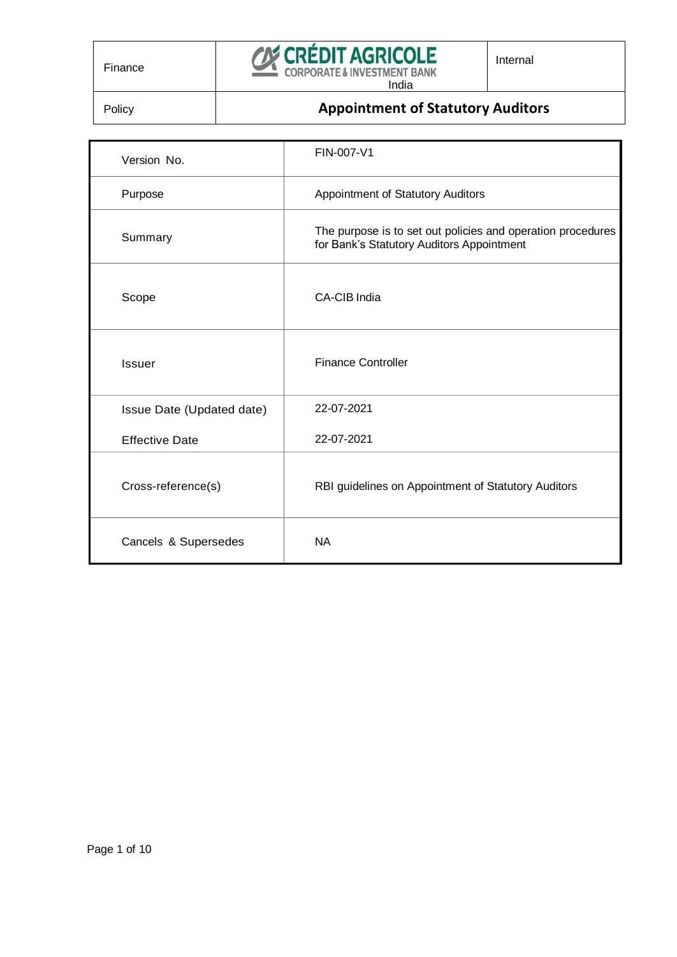

## **Policy Appointment of Statutory Auditors**

| Version No.               | FIN-007-V1                                                                                               |
|---------------------------|----------------------------------------------------------------------------------------------------------|
| Purpose                   | Appointment of Statutory Auditors                                                                        |
| Summary                   | The purpose is to set out policies and operation procedures<br>for Bank's Statutory Auditors Appointment |
| Scope                     | CA-CIB India                                                                                             |
| <b>Issuer</b>             | <b>Finance Controller</b>                                                                                |
| Issue Date (Updated date) | 22-07-2021                                                                                               |
| <b>Effective Date</b>     | 22-07-2021                                                                                               |
| Cross-reference(s)        | RBI guidelines on Appointment of Statutory Auditors                                                      |
| Cancels & Supersedes      | <b>NA</b>                                                                                                |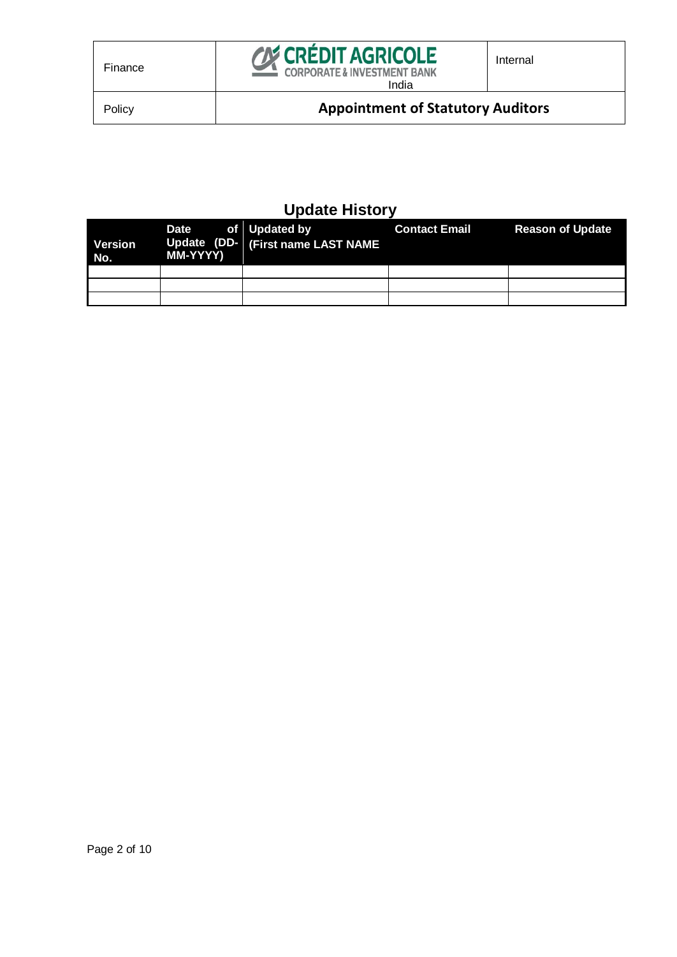

# **Update History**

| Version<br>No. | Date of Updated by<br>MM-YYYY) | Update (DD- (First name LAST NAME) | <b>Contact Email</b> | <b>Reason of Update</b> |
|----------------|--------------------------------|------------------------------------|----------------------|-------------------------|
|                |                                |                                    |                      |                         |
|                |                                |                                    |                      |                         |
|                |                                |                                    |                      |                         |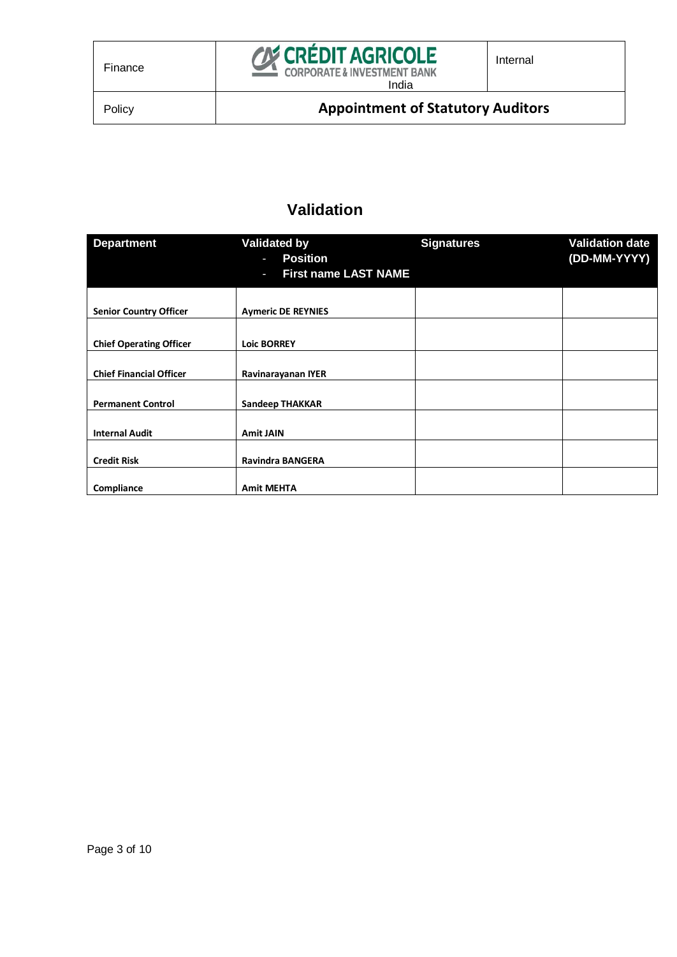

## **Validation**

| <b>Department</b><br><b>Validated by</b><br><b>Position</b><br>J. |                                  | <b>Signatures</b> | <b>Validation date</b><br>(DD-MM-YYYY) |
|-------------------------------------------------------------------|----------------------------------|-------------------|----------------------------------------|
|                                                                   | <b>First name LAST NAME</b><br>J |                   |                                        |
|                                                                   |                                  |                   |                                        |
| <b>Senior Country Officer</b>                                     | <b>Aymeric DE REYNIES</b>        |                   |                                        |
| <b>Chief Operating Officer</b>                                    | <b>Loic BORREY</b>               |                   |                                        |
| <b>Chief Financial Officer</b>                                    | Ravinarayanan IYER               |                   |                                        |
| <b>Permanent Control</b>                                          | <b>Sandeep THAKKAR</b>           |                   |                                        |
| <b>Internal Audit</b>                                             | <b>Amit JAIN</b>                 |                   |                                        |
| <b>Credit Risk</b>                                                | <b>Ravindra BANGERA</b>          |                   |                                        |
| Compliance                                                        | <b>Amit MEHTA</b>                |                   |                                        |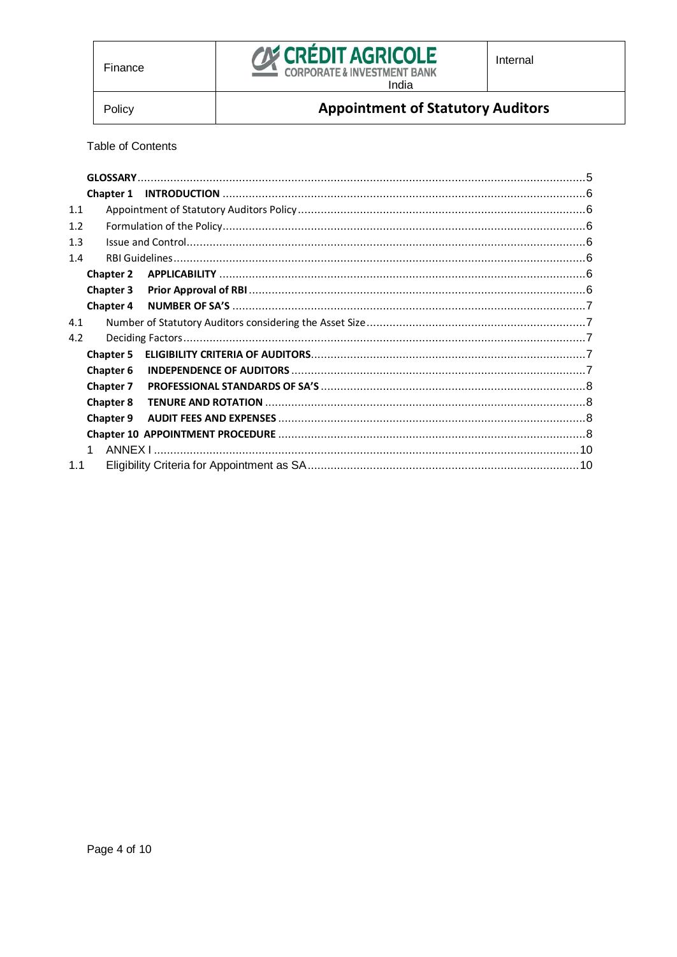

Policy

## **Appointment of Statutory Auditors**

**Table of Contents** 

|     | <b>Chapter 1</b> |  |  |
|-----|------------------|--|--|
| 1.1 |                  |  |  |
| 1.2 |                  |  |  |
| 1.3 |                  |  |  |
| 1.4 |                  |  |  |
|     | <b>Chapter 2</b> |  |  |
|     | <b>Chapter 3</b> |  |  |
|     | Chapter 4        |  |  |
| 4.1 |                  |  |  |
| 4.2 |                  |  |  |
|     | <b>Chapter 5</b> |  |  |
|     | <b>Chapter 6</b> |  |  |
|     | <b>Chapter 7</b> |  |  |
|     | <b>Chapter 8</b> |  |  |
|     | <b>Chapter 9</b> |  |  |
|     |                  |  |  |
|     |                  |  |  |
| 1.1 |                  |  |  |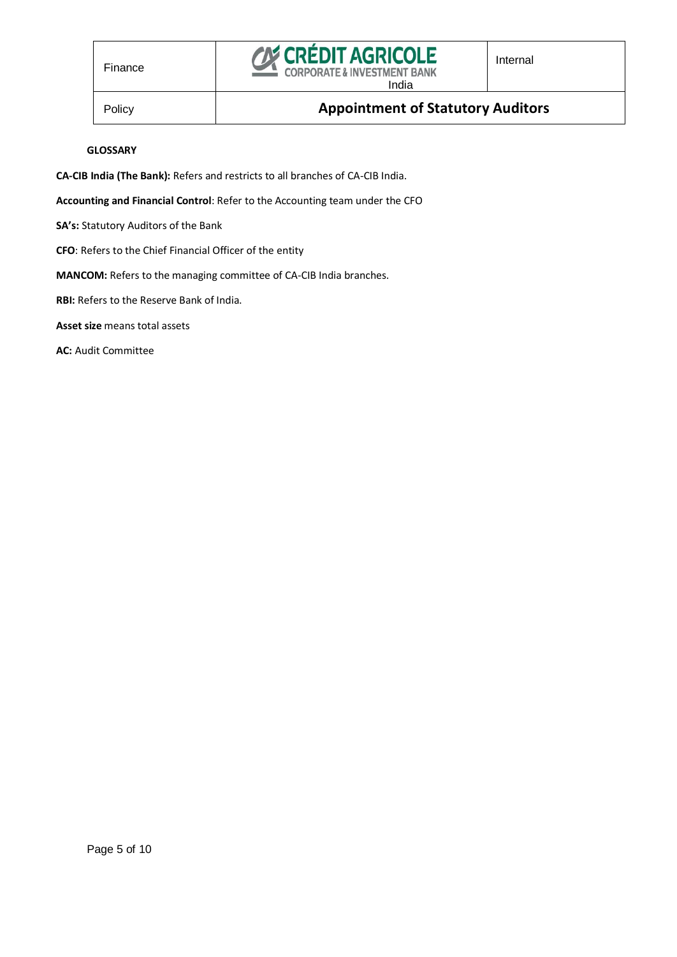

#### **GLOSSARY**

<span id="page-4-0"></span>**CA-CIB India (The Bank):** Refers and restricts to all branches of CA-CIB India.

**Accounting and Financial Control**: Refer to the Accounting team under the CFO

**SA's:** Statutory Auditors of the Bank

**CFO**: Refers to the Chief Financial Officer of the entity

**MANCOM:** Refers to the managing committee of CA-CIB India branches.

**RBI:** Refers to the Reserve Bank of India.

**Asset size** means total assets

**AC:** Audit Committee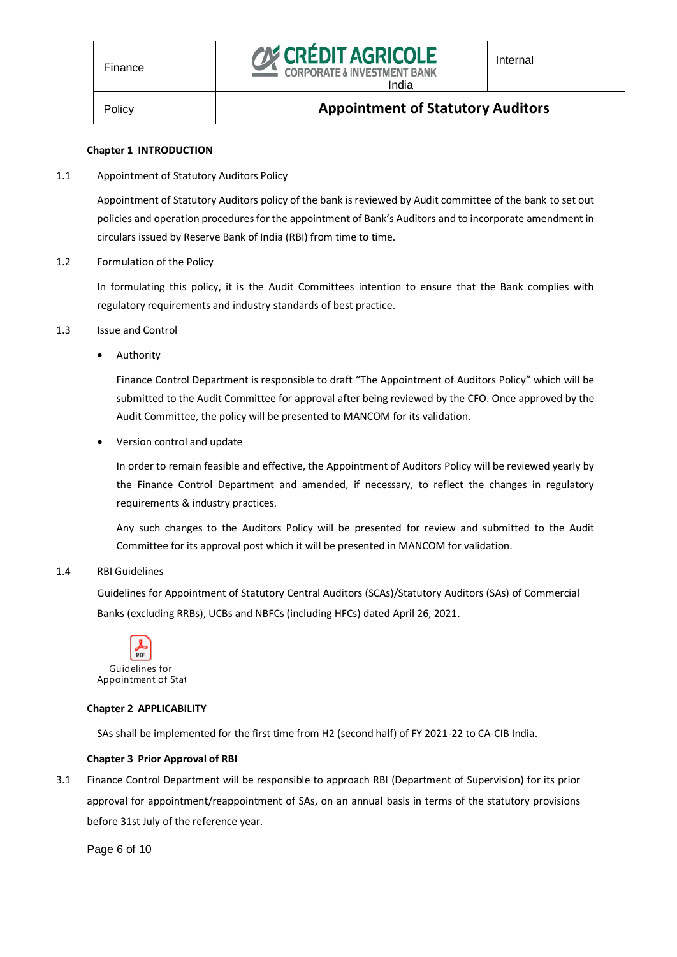

#### **Chapter 1 INTRODUCTION**

<span id="page-5-1"></span><span id="page-5-0"></span>1.1 Appointment of Statutory Auditors Policy

Appointment of Statutory Auditors policy of the bank is reviewed by Audit committee of the bank to set out policies and operation procedures for the appointment of Bank's Auditors and to incorporate amendment in circulars issued by Reserve Bank of India (RBI) from time to time.

<span id="page-5-2"></span>1.2 Formulation of the Policy

In formulating this policy, it is the Audit Committees intention to ensure that the Bank complies with regulatory requirements and industry standards of best practice.

- <span id="page-5-3"></span>1.3 Issue and Control
	- Authority

Finance Control Department is responsible to draft "The Appointment of Auditors Policy" which will be submitted to the Audit Committee for approval after being reviewed by the CFO. Once approved by the Audit Committee, the policy will be presented to MANCOM for its validation.

Version control and update

In order to remain feasible and effective, the Appointment of Auditors Policy will be reviewed yearly by the Finance Control Department and amended, if necessary, to reflect the changes in regulatory requirements & industry practices.

Any such changes to the Auditors Policy will be presented for review and submitted to the Audit Committee for its approval post which it will be presented in MANCOM for validation.

#### <span id="page-5-4"></span>1.4 RBI Guidelines

Guidelines for Appointment of Statutory Central Auditors (SCAs)/Statutory Auditors (SAs) of Commercial Banks (excluding RRBs), UCBs and NBFCs (including HFCs) dated April 26, 2021.



#### <span id="page-5-5"></span>**Chapter 2 APPLICABILITY**

SAs shall be implemented for the first time from H2 (second half) of FY 2021-22 to CA-CIB India.

#### **Chapter 3 Prior Approval of RBI**

<span id="page-5-6"></span>3.1 Finance Control Department will be responsible to approach RBI (Department of Supervision) for its prior approval for appointment/reappointment of SAs, on an annual basis in terms of the statutory provisions before 31st July of the reference year.

Page 6 of 10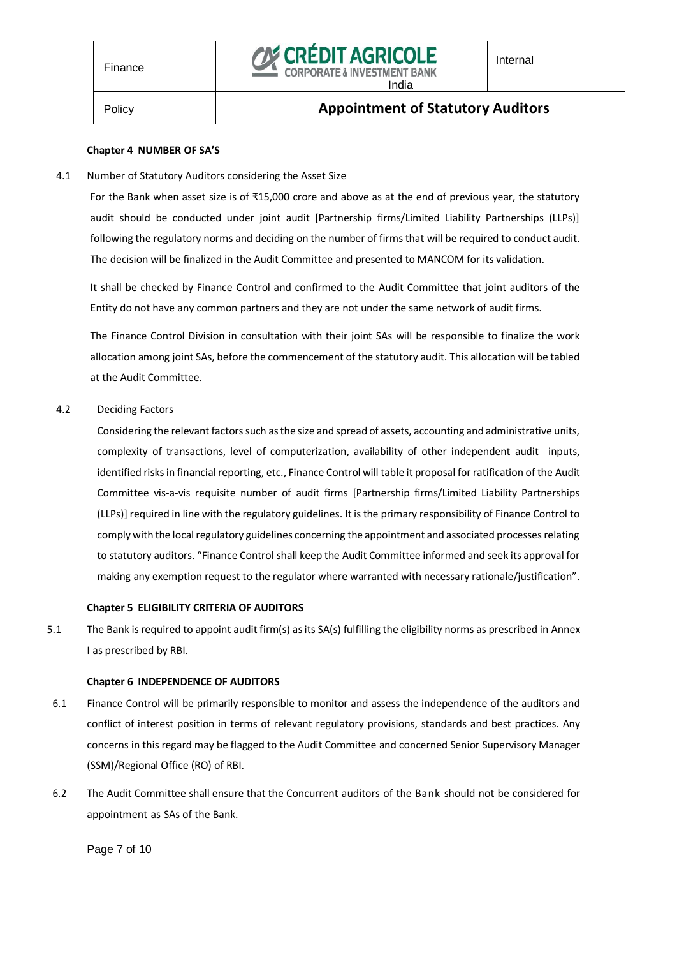

### Policy **Appointment of Statutory Auditors**

#### **Chapter 4 NUMBER OF SA'S**

<span id="page-6-1"></span><span id="page-6-0"></span>4.1 Number of Statutory Auditors considering the Asset Size

For the Bank when asset size is of ₹15,000 crore and above as at the end of previous year, the statutory audit should be conducted under joint audit [Partnership firms/Limited Liability Partnerships (LLPs)] following the regulatory norms and deciding on the number of firms that will be required to conduct audit. The decision will be finalized in the Audit Committee and presented to MANCOM for its validation.

It shall be checked by Finance Control and confirmed to the Audit Committee that joint auditors of the Entity do not have any common partners and they are not under the same network of audit firms.

The Finance Control Division in consultation with their joint SAs will be responsible to finalize the work allocation among joint SAs, before the commencement of the statutory audit. This allocation will be tabled at the Audit Committee.

<span id="page-6-2"></span>4.2 Deciding Factors

Considering the relevant factors such as the size and spread of assets, accounting and administrative units, complexity of transactions, level of computerization, availability of other independent audit inputs, identified risks in financial reporting, etc., Finance Control will table it proposal for ratification of the Audit Committee vis-a-vis requisite number of audit firms [Partnership firms/Limited Liability Partnerships (LLPs)] required in line with the regulatory guidelines. It is the primary responsibility of Finance Control to comply with the local regulatory guidelines concerning the appointment and associated processes relating to statutory auditors. "Finance Control shall keep the Audit Committee informed and seek its approval for making any exemption request to the regulator where warranted with necessary rationale/justification".

#### **Chapter 5 ELIGIBILITY CRITERIA OF AUDITORS**

<span id="page-6-3"></span>5.1 The Bank is required to appoint audit firm(s) as its SA(s) fulfilling the eligibility norms as prescribed in Annex I as prescribed by RBI.

#### **Chapter 6 INDEPENDENCE OF AUDITORS**

- <span id="page-6-4"></span>6.1 Finance Control will be primarily responsible to monitor and assess the independence of the auditors and conflict of interest position in terms of relevant regulatory provisions, standards and best practices. Any concerns in this regard may be flagged to the Audit Committee and concerned Senior Supervisory Manager (SSM)/Regional Office (RO) of RBI.
- 6.2 The Audit Committee shall ensure that the Concurrent auditors of the Bank should not be considered for appointment as SAs of the Bank.

Page 7 of 10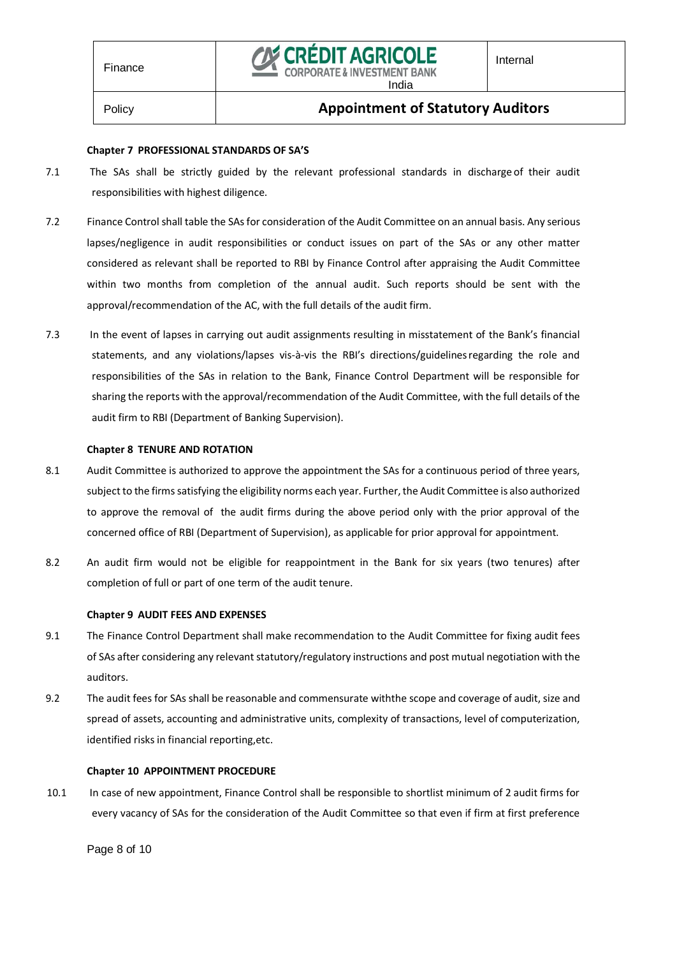### Policy **Appointment of Statutory Auditors**

India

#### **Chapter 7 PROFESSIONAL STANDARDS OF SA'S**

- <span id="page-7-0"></span>7.1 The SAs shall be strictly guided by the relevant professional standards in discharge of their audit responsibilities with highest diligence.
- 7.2 Finance Control shall table the SAs for consideration of the Audit Committee on an annual basis. Any serious lapses/negligence in audit responsibilities or conduct issues on part of the SAs or any other matter considered as relevant shall be reported to RBI by Finance Control after appraising the Audit Committee within two months from completion of the annual audit. Such reports should be sent with the approval/recommendation of the AC, with the full details of the audit firm.
- 7.3 In the event of lapses in carrying out audit assignments resulting in misstatement of the Bank's financial statements, and any violations/lapses vis-à-vis the RBI's directions/guidelinesregarding the role and responsibilities of the SAs in relation to the Bank, Finance Control Department will be responsible for sharing the reports with the approval/recommendation of the Audit Committee, with the full details of the audit firm to RBI (Department of Banking Supervision).

#### **Chapter 8 TENURE AND ROTATION**

- <span id="page-7-1"></span>8.1 Audit Committee is authorized to approve the appointment the SAs for a continuous period of three years, subject to the firms satisfying the eligibility norms each year. Further, the Audit Committee is also authorized to approve the removal of the audit firms during the above period only with the prior approval of the concerned office of RBI (Department of Supervision), as applicable for prior approval for appointment.
- 8.2 An audit firm would not be eligible for reappointment in the Bank for six years (two tenures) after completion of full or part of one term of the audit tenure.

#### **Chapter 9 AUDIT FEES AND EXPENSES**

- <span id="page-7-2"></span>9.1 The Finance Control Department shall make recommendation to the Audit Committee for fixing audit fees of SAs after considering any relevant statutory/regulatory instructions and post mutual negotiation with the auditors.
- 9.2 The audit fees for SAs shall be reasonable and commensurate withthe scope and coverage of audit, size and spread of assets, accounting and administrative units, complexity of transactions, level of computerization, identified risks in financial reporting,etc.

#### **Chapter 10 APPOINTMENT PROCEDURE**

<span id="page-7-3"></span>10.1 In case of new appointment, Finance Control shall be responsible to shortlist minimum of 2 audit firms for every vacancy of SAs for the consideration of the Audit Committee so that even if firm at first preference

Page 8 of 10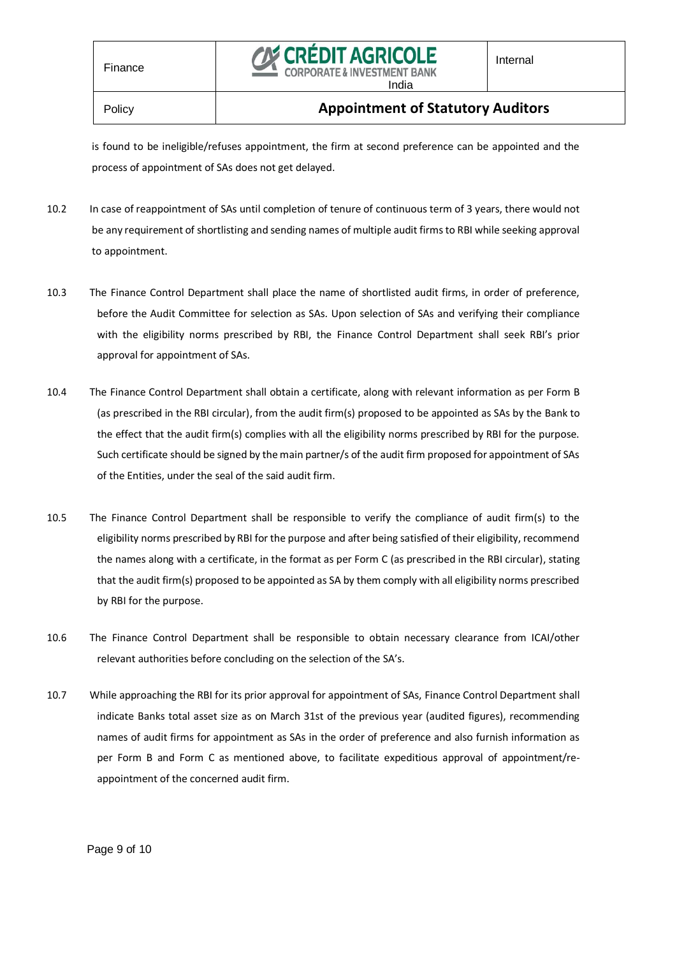

is found to be ineligible/refuses appointment, the firm at second preference can be appointed and the process of appointment of SAs does not get delayed.

- 10.2 In case of reappointment of SAs until completion of tenure of continuous term of 3 years, there would not be any requirement of shortlisting and sending names of multiple audit firms to RBI while seeking approval to appointment.
- 10.3 The Finance Control Department shall place the name of shortlisted audit firms, in order of preference, before the Audit Committee for selection as SAs. Upon selection of SAs and verifying their compliance with the eligibility norms prescribed by RBI, the Finance Control Department shall seek RBI's prior approval for appointment of SAs.
- 10.4 The Finance Control Department shall obtain a certificate, along with relevant information as per Form B (as prescribed in the RBI circular), from the audit firm(s) proposed to be appointed as SAs by the Bank to the effect that the audit firm(s) complies with all the eligibility norms prescribed by RBI for the purpose. Such certificate should be signed by the main partner/s of the audit firm proposed for appointment of SAs of the Entities, under the seal of the said audit firm.
- 10.5 The Finance Control Department shall be responsible to verify the compliance of audit firm(s) to the eligibility norms prescribed by RBI for the purpose and after being satisfied of their eligibility, recommend the names along with a certificate, in the format as per Form C (as prescribed in the RBI circular), stating that the audit firm(s) proposed to be appointed as SA by them comply with all eligibility norms prescribed by RBI for the purpose.
- 10.6 The Finance Control Department shall be responsible to obtain necessary clearance from ICAI/other relevant authorities before concluding on the selection of the SA's.
- 10.7 While approaching the RBI for its prior approval for appointment of SAs, Finance Control Department shall indicate Banks total asset size as on March 31st of the previous year (audited figures), recommending names of audit firms for appointment as SAs in the order of preference and also furnish information as per Form B and Form C as mentioned above, to facilitate expeditious approval of appointment/reappointment of the concerned audit firm.